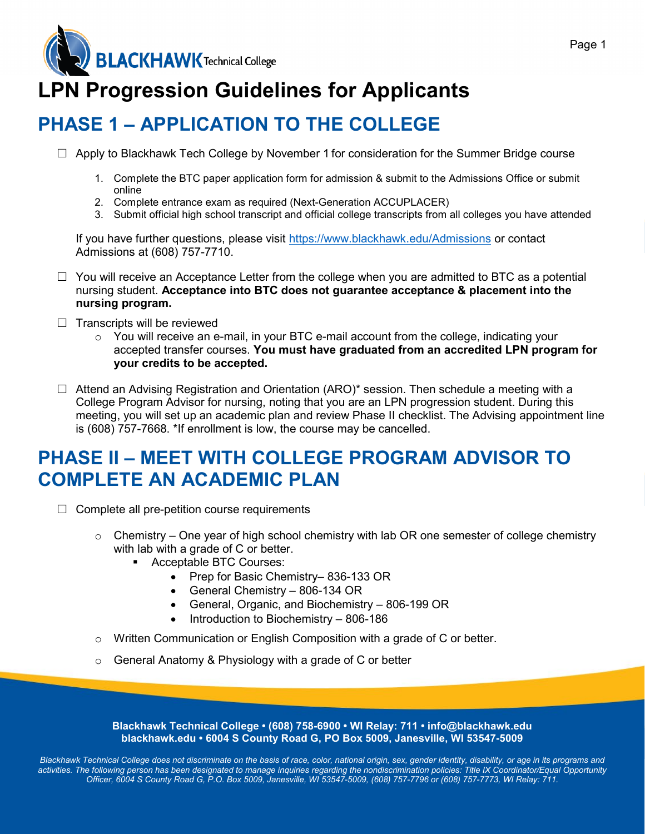## **LPN Progression Guidelines for Applicants**

## **PHASE 1 – APPLICATION TO THE COLLEGE**

- $\Box$  Apply to Blackhawk Tech College by November 1 for consideration for the Summer Bridge course
	- 1. Complete the BTC paper application form for admission & submit to the Admissions Office or submit online
	- 2. Complete entrance exam as required (Next-Generation ACCUPLACER)
	- 3. Submit official high school transcript and official college transcripts from all colleges you have attended

If you have further questions, please visit<https://www.blackhawk.edu/Admissions> or contact Admissions at (608) 757-7710.

- $\Box$  You will receive an Acceptance Letter from the college when you are admitted to BTC as a potential nursing student. **Acceptance into BTC does not guarantee acceptance & placement into the nursing program.**
- $\Box$  Transcripts will be reviewed
	- $\circ$  You will receive an e-mail, in your BTC e-mail account from the college, indicating your accepted transfer courses. **You must have graduated from an accredited LPN program for your credits to be accepted.**
- $\Box$  Attend an Advising Registration and Orientation (ARO)\* session. Then schedule a meeting with a College Program Advisor for nursing, noting that you are an LPN progression student. During this meeting, you will set up an academic plan and review Phase II checklist. The Advising appointment line is (608) 757-7668. \*If enrollment is low, the course may be cancelled.

#### **PHASE II – MEET WITH COLLEGE PROGRAM ADVISOR TO COMPLETE AN ACADEMIC PLAN**

- $\Box$  Complete all pre-petition course requirements
	- $\circ$  Chemistry One year of high school chemistry with lab OR one semester of college chemistry with lab with a grade of C or better.
		- **Acceptable BTC Courses:** 
			- Prep for Basic Chemistry– 836-133 OR
			- General Chemistry 806-134 OR
			- General, Organic, and Biochemistry 806-199 OR
			- Introduction to Biochemistry 806-186
	- $\circ$  Written Communication or English Composition with a grade of C or better.
	- $\circ$  General Anatomy & Physiology with a grade of C or better

**Blackhawk Technical College • (608) 758-6900 • WI Relay: 711 • info@blackhawk.edu blackhawk.edu • 6004 S County Road G, PO Box 5009, Janesville, WI 53547-5009**

*Blackhawk Technical College does not discriminate on the basis of race, color, national origin, sex, gender identity, disability, or age in its programs and*  activities. The following person has been designated to manage inquiries regarding the nondiscrimination policies: Title IX Coordinator/Equal Opportunity *Officer, 6004 S County Road G, P.O. Box 5009, Janesville, WI 53547-5009, (608) 757-7796 or (608) 757-7773, WI Relay: 711.*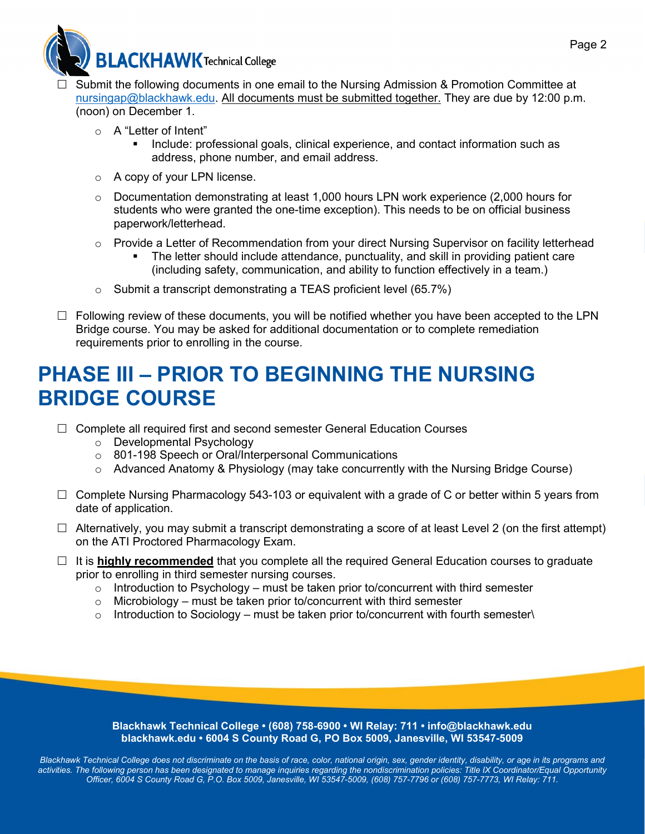

- Submit the following documents in one email to the Nursing Admission & Promotion Committee at [nursingap@blackhawk.edu.](mailto:nursingap@blackhawk.edu) All documents must be submitted together. They are due by 12:00 p.m. (noon) on December 1.
	- o A "Letter of Intent"
		- Include: professional goals, clinical experience, and contact information such as address, phone number, and email address.
	- o A copy of your LPN license.
	- $\circ$  Documentation demonstrating at least 1,000 hours LPN work experience (2,000 hours for students who were granted the one-time exception). This needs to be on official business paperwork/letterhead.
	- o Provide a Letter of Recommendation from your direct Nursing Supervisor on facility letterhead
		- The letter should include attendance, punctuality, and skill in providing patient care (including safety, communication, and ability to function effectively in a team.)
	- $\circ$  Submit a transcript demonstrating a TEAS proficient level (65.7%)
- $\Box$  Following review of these documents, you will be notified whether you have been accepted to the LPN Bridge course. You may be asked for additional documentation or to complete remediation requirements prior to enrolling in the course.

### **PHASE III – PRIOR TO BEGINNING THE NURSING BRIDGE COURSE**

- $\Box$  Complete all required first and second semester General Education Courses
	- o Developmental Psychology
	- o 801-198 Speech or Oral/Interpersonal Communications
	- o Advanced Anatomy & Physiology (may take concurrently with the Nursing Bridge Course)
- $\Box$  Complete Nursing Pharmacology 543-103 or equivalent with a grade of C or better within 5 years from date of application.
- $\Box$  Alternatively, you may submit a transcript demonstrating a score of at least Level 2 (on the first attempt) on the ATI Proctored Pharmacology Exam.
- $\Box$  It is **highly recommended** that you complete all the required General Education courses to graduate prior to enrolling in third semester nursing courses.
	- $\circ$  Introduction to Psychology must be taken prior to/concurrent with third semester
	- $\circ$  Microbiology must be taken prior to/concurrent with third semester
	- $\circ$  Introduction to Sociology must be taken prior to/concurrent with fourth semester $\setminus$

**Blackhawk Technical College • (608) 758-6900 • WI Relay: 711 • info@blackhawk.edu blackhawk.edu • 6004 S County Road G, PO Box 5009, Janesville, WI 53547-5009**

*Blackhawk Technical College does not discriminate on the basis of race, color, national origin, sex, gender identity, disability, or age in its programs and*  activities. The following person has been designated to manage inquiries regarding the nondiscrimination policies: Title IX Coordinator/Equal Opportunity *Officer, 6004 S County Road G, P.O. Box 5009, Janesville, WI 53547-5009, (608) 757-7796 or (608) 757-7773, WI Relay: 711.*